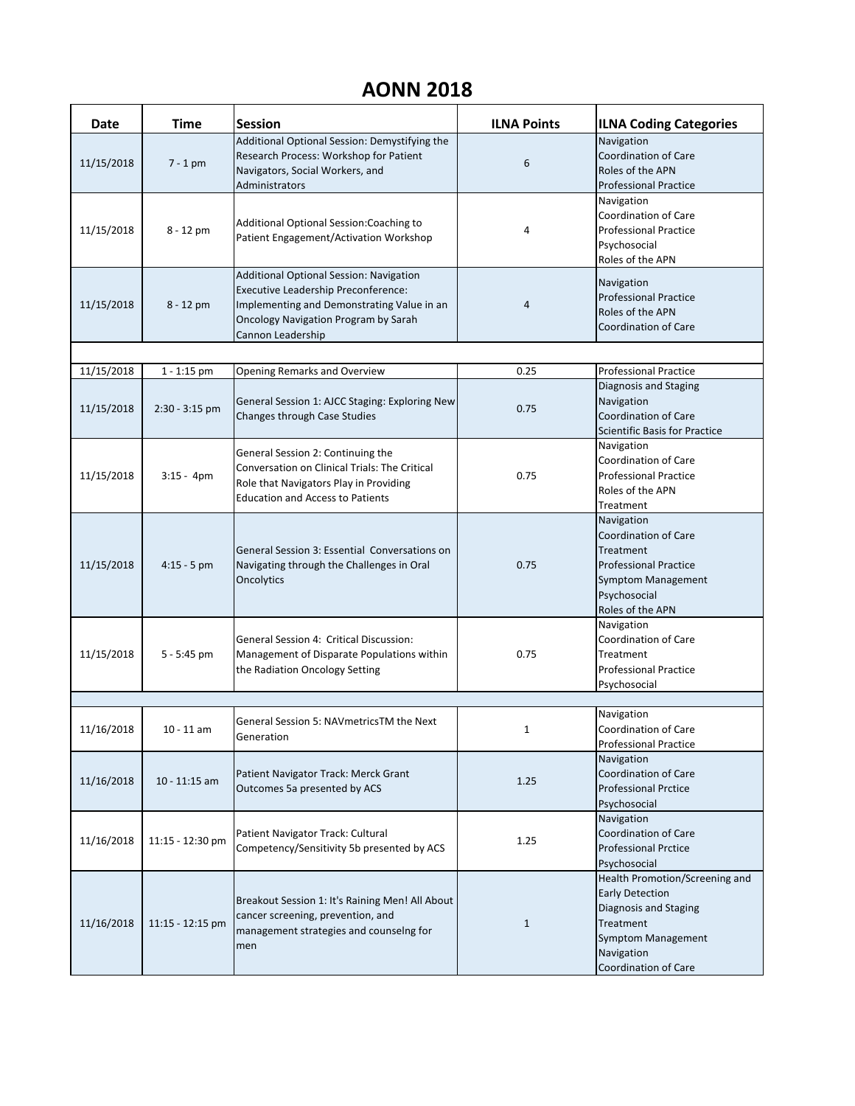## **AONN 2018**

| <b>Date</b> | <b>Time</b>      | <b>Session</b>                                                                                                                                                                                          | <b>ILNA Points</b> | <b>ILNA Coding Categories</b>                                                                                                                                            |
|-------------|------------------|---------------------------------------------------------------------------------------------------------------------------------------------------------------------------------------------------------|--------------------|--------------------------------------------------------------------------------------------------------------------------------------------------------------------------|
| 11/15/2018  | $7 - 1$ pm       | Additional Optional Session: Demystifying the<br>Research Process: Workshop for Patient<br>Navigators, Social Workers, and<br>Administrators                                                            | 6                  | Navigation<br><b>Coordination of Care</b><br>Roles of the APN<br><b>Professional Practice</b>                                                                            |
| 11/15/2018  | 8 - 12 pm        | Additional Optional Session: Coaching to<br>Patient Engagement/Activation Workshop                                                                                                                      | 4                  | Navigation<br><b>Coordination of Care</b><br><b>Professional Practice</b><br>Psychosocial<br>Roles of the APN                                                            |
| 11/15/2018  | 8 - 12 pm        | Additional Optional Session: Navigation<br><b>Executive Leadership Preconference:</b><br>Implementing and Demonstrating Value in an<br><b>Oncology Navigation Program by Sarah</b><br>Cannon Leadership | 4                  | Navigation<br><b>Professional Practice</b><br>Roles of the APN<br><b>Coordination of Care</b>                                                                            |
|             |                  |                                                                                                                                                                                                         |                    |                                                                                                                                                                          |
| 11/15/2018  | $1 - 1:15$ pm    | <b>Opening Remarks and Overview</b>                                                                                                                                                                     | 0.25               | <b>Professional Practice</b>                                                                                                                                             |
| 11/15/2018  | $2:30 - 3:15$ pm | General Session 1: AJCC Staging: Exploring New<br>Changes through Case Studies                                                                                                                          | 0.75               | Diagnosis and Staging<br>Navigation<br><b>Coordination of Care</b><br><b>Scientific Basis for Practice</b>                                                               |
| 11/15/2018  | $3:15 - 4pm$     | General Session 2: Continuing the<br>Conversation on Clinical Trials: The Critical<br>Role that Navigators Play in Providing<br><b>Education and Access to Patients</b>                                 | 0.75               | Navigation<br><b>Coordination of Care</b><br><b>Professional Practice</b><br>Roles of the APN<br>Treatment                                                               |
| 11/15/2018  | $4:15 - 5$ pm    | General Session 3: Essential Conversations on<br>Navigating through the Challenges in Oral<br>Oncolytics                                                                                                | 0.75               | Navigation<br><b>Coordination of Care</b><br>Treatment<br><b>Professional Practice</b><br><b>Symptom Management</b><br>Psychosocial<br>Roles of the APN                  |
| 11/15/2018  | $5 - 5:45$ pm    | General Session 4: Critical Discussion:<br>Management of Disparate Populations within<br>the Radiation Oncology Setting                                                                                 | 0.75               | Navigation<br><b>Coordination of Care</b><br>Treatment<br><b>Professional Practice</b><br>Psychosocial                                                                   |
|             |                  |                                                                                                                                                                                                         |                    |                                                                                                                                                                          |
| 11/16/2018  | $10 - 11$ am     | <b>General Session 5: NAVmetricsTM the Next</b><br>Generation                                                                                                                                           | $\mathbf{1}$       | Navigation<br><b>Coordination of Care</b><br><b>Professional Practice</b>                                                                                                |
| 11/16/2018  | $10 - 11:15$ am  | Patient Navigator Track: Merck Grant<br>Outcomes 5a presented by ACS                                                                                                                                    | 1.25               | Navigation<br><b>Coordination of Care</b><br><b>Professional Prctice</b><br>Psychosocial                                                                                 |
| 11/16/2018  | 11:15 - 12:30 pm | Patient Navigator Track: Cultural<br>Competency/Sensitivity 5b presented by ACS                                                                                                                         | 1.25               | Navigation<br>Coordination of Care<br><b>Professional Prctice</b><br>Psychosocial                                                                                        |
| 11/16/2018  | 11:15 - 12:15 pm | Breakout Session 1: It's Raining Men! All About<br>cancer screening, prevention, and<br>management strategies and counselng for<br>men                                                                  | $\mathbf{1}$       | Health Promotion/Screening and<br><b>Early Detection</b><br>Diagnosis and Staging<br>Treatment<br><b>Symptom Management</b><br>Navigation<br><b>Coordination of Care</b> |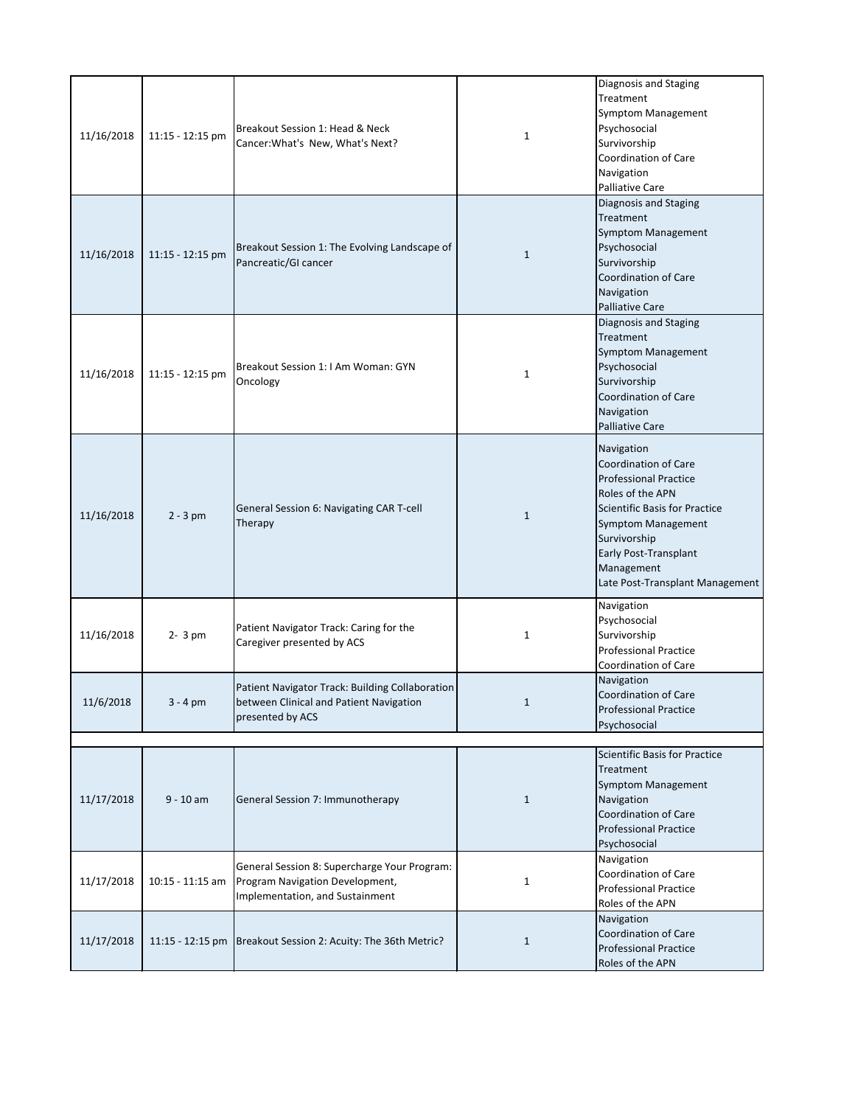| 11/16/2018 | 11:15 - 12:15 pm   | Breakout Session 1: Head & Neck<br>Cancer: What's New, What's Next?                                                | 1            | Diagnosis and Staging<br>Treatment<br>Symptom Management<br>Psychosocial<br>Survivorship<br><b>Coordination of Care</b><br>Navigation<br><b>Palliative Care</b>                                                                                                     |
|------------|--------------------|--------------------------------------------------------------------------------------------------------------------|--------------|---------------------------------------------------------------------------------------------------------------------------------------------------------------------------------------------------------------------------------------------------------------------|
| 11/16/2018 | 11:15 - 12:15 pm   | Breakout Session 1: The Evolving Landscape of<br>Pancreatic/GI cancer                                              | 1            | Diagnosis and Staging<br>Treatment<br><b>Symptom Management</b><br>Psychosocial<br>Survivorship<br><b>Coordination of Care</b><br>Navigation<br><b>Palliative Care</b>                                                                                              |
| 11/16/2018 | 11:15 - 12:15 pm   | Breakout Session 1: I Am Woman: GYN<br>Oncology                                                                    | 1            | Diagnosis and Staging<br>Treatment<br><b>Symptom Management</b><br>Psychosocial<br>Survivorship<br><b>Coordination of Care</b><br>Navigation<br><b>Palliative Care</b>                                                                                              |
| 11/16/2018 | $2 - 3 pm$         | General Session 6: Navigating CAR T-cell<br>Therapy                                                                | 1            | Navigation<br><b>Coordination of Care</b><br><b>Professional Practice</b><br>Roles of the APN<br><b>Scientific Basis for Practice</b><br><b>Symptom Management</b><br>Survivorship<br><b>Early Post-Transplant</b><br>Management<br>Late Post-Transplant Management |
| 11/16/2018 | $2 - 3 pm$         | Patient Navigator Track: Caring for the<br>Caregiver presented by ACS                                              | 1            | Navigation<br>Psychosocial<br>Survivorship<br><b>Professional Practice</b><br><b>Coordination of Care</b>                                                                                                                                                           |
| 11/6/2018  | $3 - 4$ pm         | Patient Navigator Track: Building Collaboration<br>between Clinical and Patient Navigation<br>presented by ACS     | 1            | Navigation<br><b>Coordination of Care</b><br><b>Professional Practice</b><br>Psychosocial                                                                                                                                                                           |
| 11/17/2018 | $9 - 10$ am        | General Session 7: Immunotherapy                                                                                   | $\mathbf{1}$ | <b>Scientific Basis for Practice</b><br>Treatment<br><b>Symptom Management</b><br>Navigation<br><b>Coordination of Care</b><br><b>Professional Practice</b><br>Psychosocial                                                                                         |
| 11/17/2018 | $10:15 - 11:15$ am | General Session 8: Supercharge Your Program:<br>Program Navigation Development,<br>Implementation, and Sustainment | 1            | Navigation<br><b>Coordination of Care</b><br><b>Professional Practice</b><br>Roles of the APN                                                                                                                                                                       |
| 11/17/2018 |                    | 11:15 - 12:15 pm   Breakout Session 2: Acuity: The 36th Metric?                                                    | 1            | Navigation<br><b>Coordination of Care</b><br><b>Professional Practice</b><br>Roles of the APN                                                                                                                                                                       |